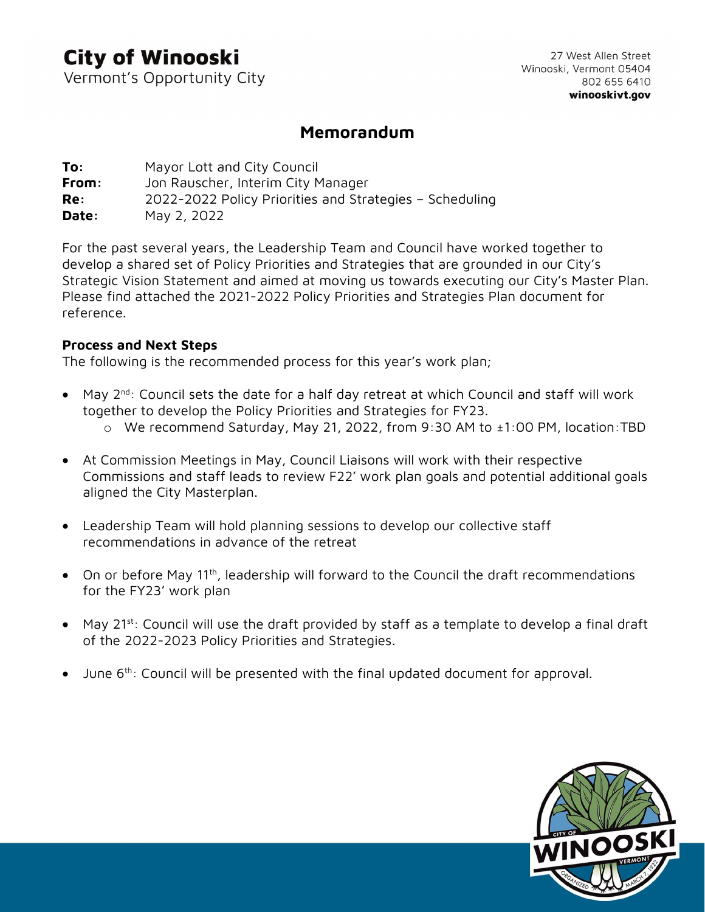## **City of Winooski**

Vermont's Opportunity City

27 West Allen Street Winooski, Vermont 05404 802 655 6410 winooskivt.gov

### Memorandum

**To:** Mayor Lott and City Council From: Jon Rauscher, Interim City Manager Re: 2022-2022 Policy Priorities and Strategies – Scheduling **Date:** May 2, 2022

For the past several years, the Leadership Team and Council have worked together to develop a shared set of Policy Priorities and Strategies that are grounded in our City's Strategic Vision Statement and aimed at moving us towards executing our City's Master Plan. Please find attached the 2021-2022 Policy Priorities and Strategies Plan document for reference.

#### Process and Next Steps

The following is the recommended process for this year's work plan;

- May 2nd: Council sets the date for a half day retreat at which Council and staff will work together to develop the Policy Priorities and Strategies for FY23.
	- o We recommend Saturday, May 21, 2022, from 9:30 AM to ±1:00 PM, location:TBD
- At Commission Meetings in May, Council Liaisons will work with their respective Commissions and staff leads to review F22' work plan goals and potential additional goals aligned the City Masterplan.
- Leadership Team will hold planning sessions to develop our collective staff recommendations in advance of the retreat
- On or before May 11<sup>th</sup>, leadership will forward to the Council the draft recommendations for the FY23' work plan
- May 21<sup>st</sup>: Council will use the draft provided by staff as a template to develop a final draft of the 2022-2023 Policy Priorities and Strategies.
- June 6<sup>th</sup>: Council will be presented with the final updated document for approval.

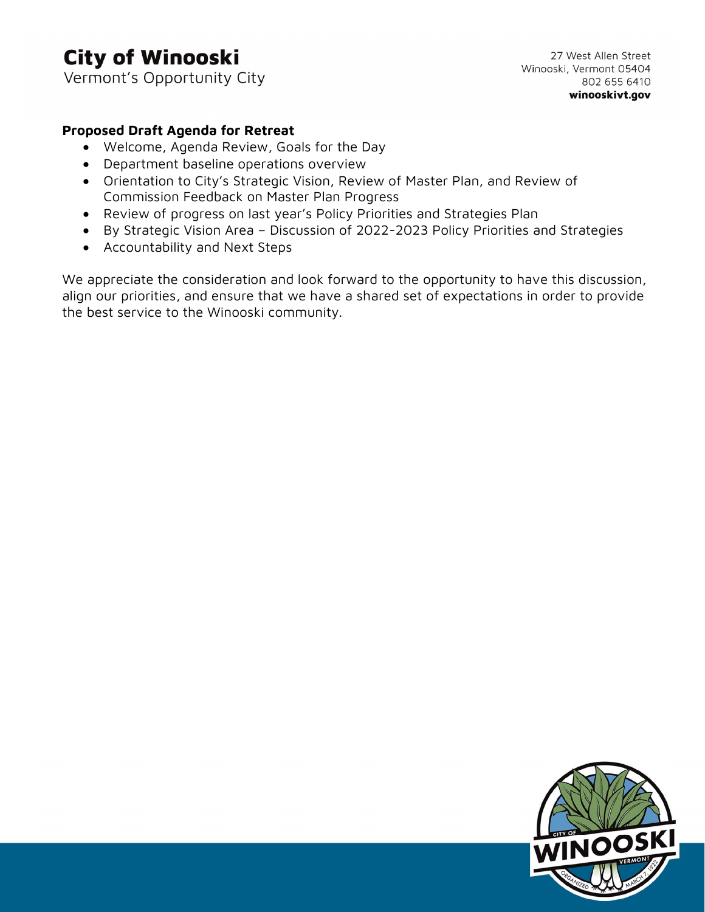# **City of Winooski**

Vermont's Opportunity City

#### Proposed Draft Agenda for Retreat

- Welcome, Agenda Review, Goals for the Day
- Department baseline operations overview
- Orientation to City's Strategic Vision, Review of Master Plan, and Review of Commission Feedback on Master Plan Progress
- Review of progress on last year's Policy Priorities and Strategies Plan
- By Strategic Vision Area Discussion of 2022-2023 Policy Priorities and Strategies
- Accountability and Next Steps

We appreciate the consideration and look forward to the opportunity to have this discussion, align our priorities, and ensure that we have a shared set of expectations in order to provide the best service to the Winooski community.

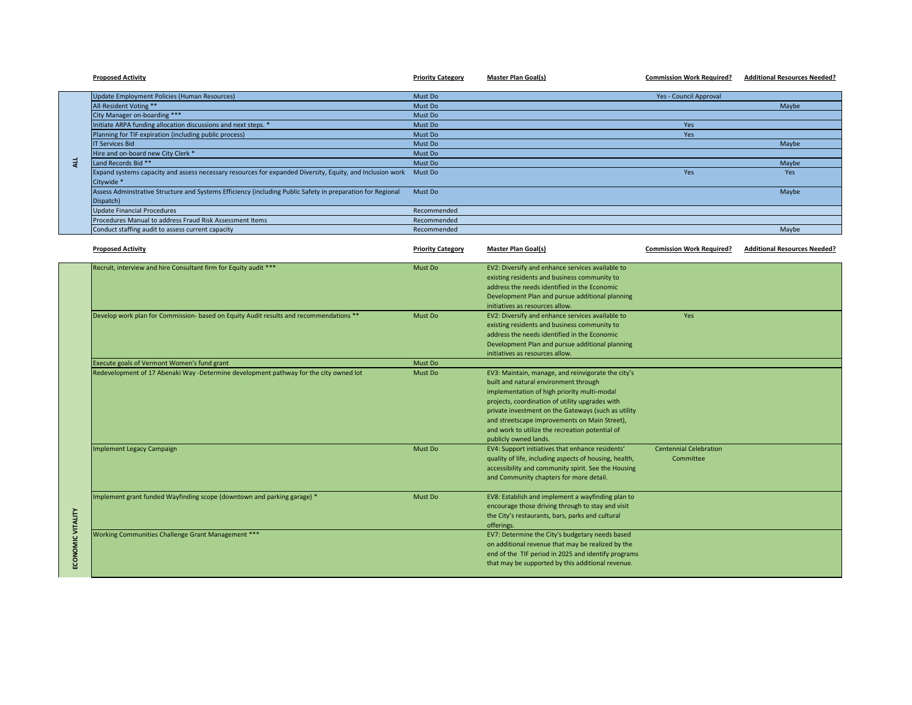|                   | <b>Proposed Activity</b>                                                                                                | <b>Priority Category</b> | <b>Master Plan Goal(s)</b>                                                                                    | <b>Commission Work Required?</b> | <b>Additional Resources Needed?</b> |
|-------------------|-------------------------------------------------------------------------------------------------------------------------|--------------------------|---------------------------------------------------------------------------------------------------------------|----------------------------------|-------------------------------------|
|                   | Update Employment Policies (Human Resources)                                                                            | Must Do                  |                                                                                                               | Yes - Council Approval           |                                     |
|                   | All-Resident Voting **                                                                                                  | Must Do                  |                                                                                                               |                                  | Maybe                               |
|                   | City Manager on-boarding ***                                                                                            | Must Do                  |                                                                                                               |                                  |                                     |
|                   | Initiate ARPA funding allocation discussions and next steps. *                                                          | Must Do                  |                                                                                                               | <b>Yes</b>                       |                                     |
|                   | Planning for TIF expiration (including public process)                                                                  | Must Do                  |                                                                                                               | Yes                              |                                     |
|                   | <b>IT Services Bid</b>                                                                                                  | Must Do                  |                                                                                                               |                                  | Maybe                               |
|                   | Hire and on-board new City Clerk *                                                                                      | Must Do                  |                                                                                                               |                                  |                                     |
| 4L                | Land Records Bid **                                                                                                     | Must Do                  |                                                                                                               |                                  | Maybe                               |
|                   | Expand systems capacity and assess necessary resources for expanded Diversity, Equity, and Inclusion work<br>Citywide * | Must Do                  |                                                                                                               | Yes                              | Yes                                 |
|                   | Assess Adminstrative Structure and Systems Efficiency (including Public Safety in preparation for Regional<br>Dispatch) | Must Do                  |                                                                                                               |                                  | Maybe                               |
|                   | <b>Update Financial Procedures</b>                                                                                      | Recommended              |                                                                                                               |                                  |                                     |
|                   | Procedures Manual to address Fraud Risk Assessment Items                                                                | Recommended              |                                                                                                               |                                  |                                     |
|                   | Conduct staffing audit to assess current capacity                                                                       | Recommended              |                                                                                                               |                                  | Maybe                               |
|                   | <b>Proposed Activity</b>                                                                                                | <b>Priority Category</b> | <b>Master Plan Goal(s)</b>                                                                                    | <b>Commission Work Required?</b> | <b>Additional Resources Needed?</b> |
|                   | Recruit, interview and hire Consultant firm for Equity audit ***                                                        | Must Do                  | EV2: Diversify and enhance services available to                                                              |                                  |                                     |
|                   |                                                                                                                         |                          | existing residents and business community to                                                                  |                                  |                                     |
|                   |                                                                                                                         |                          | address the needs identified in the Economic                                                                  |                                  |                                     |
|                   |                                                                                                                         |                          | Development Plan and pursue additional planning                                                               |                                  |                                     |
|                   |                                                                                                                         |                          | initiatives as resources allow.                                                                               |                                  |                                     |
|                   | Develop work plan for Commission- based on Equity Audit results and recommendations **                                  | Must Do                  | EV2: Diversify and enhance services available to                                                              | Yes                              |                                     |
|                   |                                                                                                                         |                          | existing residents and business community to                                                                  |                                  |                                     |
|                   |                                                                                                                         |                          | address the needs identified in the Economic                                                                  |                                  |                                     |
|                   |                                                                                                                         |                          |                                                                                                               |                                  |                                     |
|                   |                                                                                                                         |                          | Development Plan and pursue additional planning<br>initiatives as resources allow.                            |                                  |                                     |
|                   | Execute goals of Vermont Women's fund grant                                                                             | Must Do                  |                                                                                                               |                                  |                                     |
|                   | Redevelopment of 17 Abenaki Way -Determine development pathway for the city owned lot                                   | Must Do                  | EV3: Maintain, manage, and reinvigorate the city's                                                            |                                  |                                     |
|                   |                                                                                                                         |                          | built and natural environment through                                                                         |                                  |                                     |
|                   |                                                                                                                         |                          | implementation of high priority multi-modal                                                                   |                                  |                                     |
|                   |                                                                                                                         |                          | projects, coordination of utility upgrades with                                                               |                                  |                                     |
|                   |                                                                                                                         |                          | private investment on the Gateways (such as utility                                                           |                                  |                                     |
|                   |                                                                                                                         |                          | and streetscape improvements on Main Street),                                                                 |                                  |                                     |
|                   |                                                                                                                         |                          |                                                                                                               |                                  |                                     |
|                   |                                                                                                                         |                          | and work to utilize the recreation potential of                                                               |                                  |                                     |
|                   |                                                                                                                         | Must Do                  | publicly owned lands.                                                                                         | <b>Centennial Celebration</b>    |                                     |
|                   | Implement Legacy Campaign                                                                                               |                          | EV4: Support initiatives that enhance residents'                                                              | Committee                        |                                     |
|                   |                                                                                                                         |                          | quality of life, including aspects of housing, health,<br>accessibility and community spirit. See the Housing |                                  |                                     |
|                   |                                                                                                                         |                          |                                                                                                               |                                  |                                     |
|                   |                                                                                                                         |                          | and Community chapters for more detail.                                                                       |                                  |                                     |
|                   | Implement grant funded Wayfinding scope (downtown and parking garage) *                                                 | Must Do                  | EV8: Establish and implement a wayfinding plan to                                                             |                                  |                                     |
|                   |                                                                                                                         |                          | encourage those driving through to stay and visit                                                             |                                  |                                     |
|                   |                                                                                                                         |                          | the City's restaurants, bars, parks and cultural                                                              |                                  |                                     |
| ECONOMIC VITALITY |                                                                                                                         |                          | offerings.                                                                                                    |                                  |                                     |
|                   | Working Communities Challenge Grant Management ***                                                                      |                          | EV7: Determine the City's budgetary needs based                                                               |                                  |                                     |
|                   |                                                                                                                         |                          | on additional revenue that may be realized by the                                                             |                                  |                                     |
|                   |                                                                                                                         |                          | end of the TIF period in 2025 and identify programs                                                           |                                  |                                     |
|                   |                                                                                                                         |                          | that may be supported by this additional revenue.                                                             |                                  |                                     |
|                   |                                                                                                                         |                          |                                                                                                               |                                  |                                     |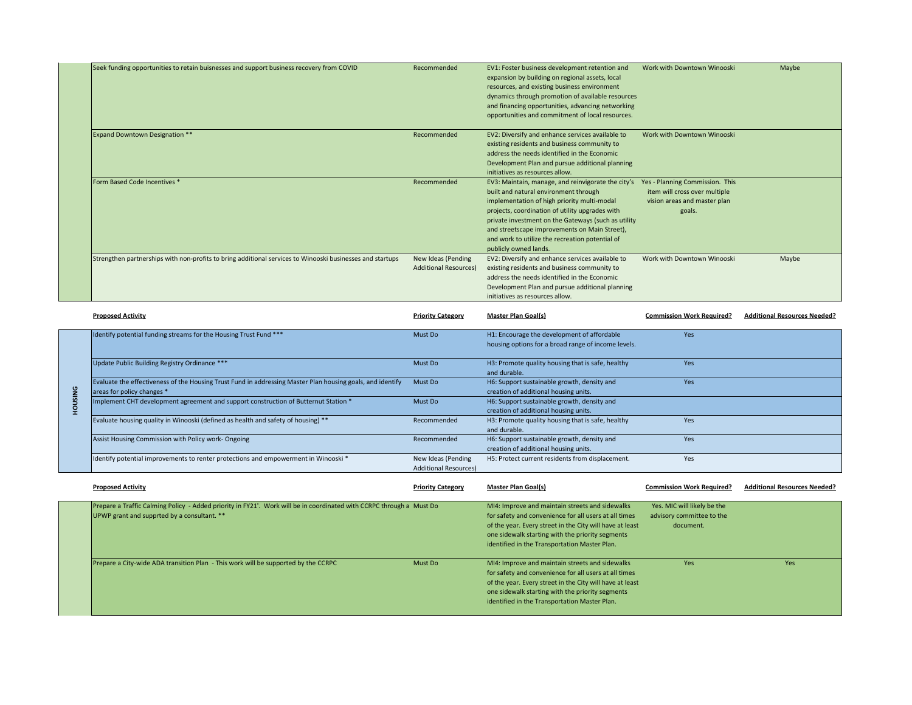| Seek funding opportunities to retain buisnesses and support business recovery from COVID                  | Recommended                  | EV1: Foster business development retention and      | Work with Downtown Winooski     | Maybe |
|-----------------------------------------------------------------------------------------------------------|------------------------------|-----------------------------------------------------|---------------------------------|-------|
|                                                                                                           |                              | expansion by building on regional assets, local     |                                 |       |
|                                                                                                           |                              | resources, and existing business environment        |                                 |       |
|                                                                                                           |                              | dynamics through promotion of available resources   |                                 |       |
|                                                                                                           |                              | and financing opportunities, advancing networking   |                                 |       |
|                                                                                                           |                              | opportunities and commitment of local resources.    |                                 |       |
| <b>Expand Downtown Designation **</b>                                                                     | Recommended                  | EV2: Diversify and enhance services available to    | Work with Downtown Winooski     |       |
|                                                                                                           |                              | existing residents and business community to        |                                 |       |
|                                                                                                           |                              | address the needs identified in the Economic        |                                 |       |
|                                                                                                           |                              | Development Plan and pursue additional planning     |                                 |       |
|                                                                                                           |                              | initiatives as resources allow.                     |                                 |       |
| Form Based Code Incentives *                                                                              | Recommended                  | EV3: Maintain, manage, and reinvigorate the city's  | Yes - Planning Commission. This |       |
|                                                                                                           |                              | built and natural environment through               | item will cross over multiple   |       |
|                                                                                                           |                              | implementation of high priority multi-modal         | vision areas and master plan    |       |
|                                                                                                           |                              | projects, coordination of utility upgrades with     | goals.                          |       |
|                                                                                                           |                              | private investment on the Gateways (such as utility |                                 |       |
|                                                                                                           |                              | and streetscape improvements on Main Street),       |                                 |       |
|                                                                                                           |                              | and work to utilize the recreation potential of     |                                 |       |
|                                                                                                           |                              | publicly owned lands.                               |                                 |       |
| Strengthen partnerships with non-profits to bring additional services to Winooski businesses and startups | New Ideas (Pending           | EV2: Diversify and enhance services available to    | Work with Downtown Winooski     | Maybe |
|                                                                                                           | <b>Additional Resources)</b> | existing residents and business community to        |                                 |       |
|                                                                                                           |                              | address the needs identified in the Economic        |                                 |       |
|                                                                                                           |                              | Development Plan and pursue additional planning     |                                 |       |
|                                                                                                           |                              | initiatives as resources allow.                     |                                 |       |

|    | <b>Proposed Activity</b>                                                                                                                 | <b>Priority Category</b>                           | <b>Master Plan Goal(s)</b>                                                                         | <b>Commission Work Required?</b> | <b>Additional Resources Needed?</b> |
|----|------------------------------------------------------------------------------------------------------------------------------------------|----------------------------------------------------|----------------------------------------------------------------------------------------------------|----------------------------------|-------------------------------------|
|    | Identify potential funding streams for the Housing Trust Fund ***                                                                        | Must Do                                            | H1: Encourage the development of affordable<br>housing options for a broad range of income levels. | <b>Yes</b>                       |                                     |
|    | Update Public Building Registry Ordinance ***                                                                                            | Must Do                                            | H3: Promote quality housing that is safe, healthy<br>and durable.                                  | <b>Yes</b>                       |                                     |
| ទី | Evaluate the effectiveness of the Housing Trust Fund in addressing Master Plan housing goals, and identify<br>areas for policy changes * | Must Do                                            | H6: Support sustainable growth, density and<br>creation of additional housing units.               | Yes                              |                                     |
|    | Implement CHT development agreement and support construction of Butternut Station *                                                      | Must Do                                            | H6: Support sustainable growth, density and<br>creation of additional housing units.               |                                  |                                     |
|    | Evaluate housing quality in Winooski (defined as health and safety of housing) **                                                        | Recommended                                        | H3: Promote quality housing that is safe, healthy<br>and durable.                                  | Yes                              |                                     |
|    | Assist Housing Commission with Policy work-Ongoing                                                                                       | Recommended                                        | H6: Support sustainable growth, density and<br>creation of additional housing units.               | Yes                              |                                     |
|    | Identify potential improvements to renter protections and empowerment in Winooski *                                                      | New Ideas (Pending<br><b>Additional Resources)</b> | H5: Protect current residents from displacement.                                                   | Yes                              |                                     |

| <b>Proposed Activity</b>                                                                                                                                            | <b>Priority Category</b> | <b>Master Plan Goal(s)</b>                                                                                                                                                                                                                                                | <b>Commission Work Required?</b>                                      | <b>Additional Resources Needed?</b> |
|---------------------------------------------------------------------------------------------------------------------------------------------------------------------|--------------------------|---------------------------------------------------------------------------------------------------------------------------------------------------------------------------------------------------------------------------------------------------------------------------|-----------------------------------------------------------------------|-------------------------------------|
| Prepare a Traffic Calming Policy - Added priority in FY21'. Work will be in coordinated with CCRPC through a Must Do<br>UPWP grant and supprted by a consultant. ** |                          | MI4: Improve and maintain streets and sidewalks<br>for safety and convenience for all users at all times<br>of the year. Every street in the City will have at least<br>one sidewalk starting with the priority segments<br>identified in the Transportation Master Plan. | Yes. MIC will likely be the<br>advisory committee to the<br>document. |                                     |
| Prepare a City-wide ADA transition Plan - This work will be supported by the CCRPC                                                                                  | Must Do                  | MI4: Improve and maintain streets and sidewalks<br>for safety and convenience for all users at all times<br>of the year. Every street in the City will have at least<br>one sidewalk starting with the priority segments<br>identified in the Transportation Master Plan. | <b>Yes</b>                                                            | <b>Yes</b>                          |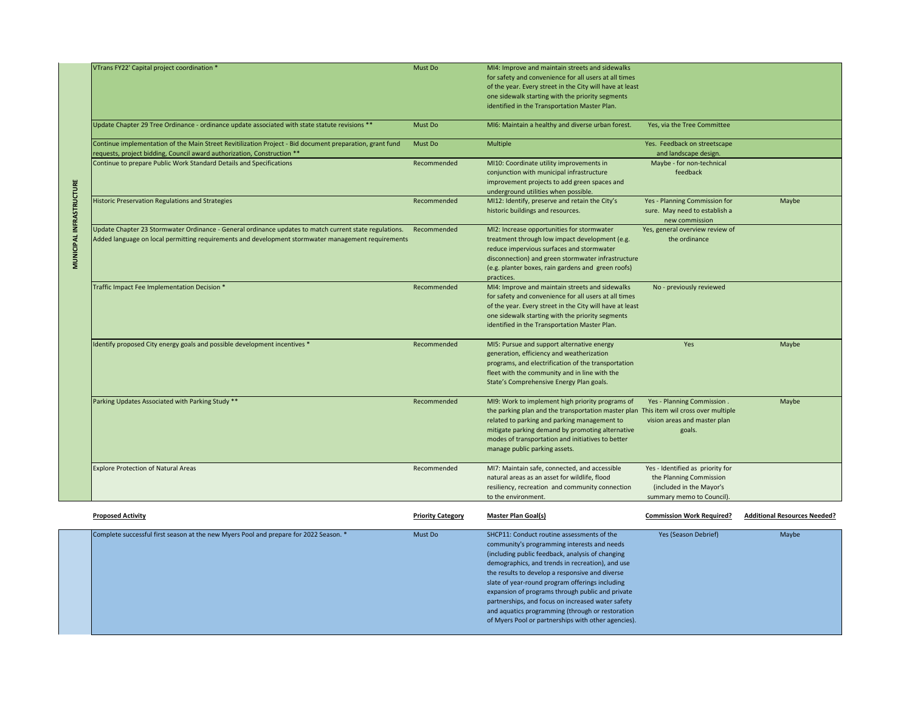|                                 | VTrans FY22' Capital project coordination *                                                                                                                                                                  | Must Do                  | MI4: Improve and maintain streets and sidewalks<br>for safety and convenience for all users at all times<br>of the year. Every street in the City will have at least<br>one sidewalk starting with the priority segments<br>identified in the Transportation Master Plan.                                                                                                                                                                                                                                                   |                                                                                                                      |                                     |
|---------------------------------|--------------------------------------------------------------------------------------------------------------------------------------------------------------------------------------------------------------|--------------------------|-----------------------------------------------------------------------------------------------------------------------------------------------------------------------------------------------------------------------------------------------------------------------------------------------------------------------------------------------------------------------------------------------------------------------------------------------------------------------------------------------------------------------------|----------------------------------------------------------------------------------------------------------------------|-------------------------------------|
|                                 | Update Chapter 29 Tree Ordinance - ordinance update associated with state statute revisions **                                                                                                               | Must Do                  | MI6: Maintain a healthy and diverse urban forest.                                                                                                                                                                                                                                                                                                                                                                                                                                                                           | Yes, via the Tree Committee                                                                                          |                                     |
|                                 | Continue implementation of the Main Street Revitilization Project - Bid document preparation, grant fund<br>requests, project bidding, Council award authorization, Construction **                          | Must Do                  | Multiple                                                                                                                                                                                                                                                                                                                                                                                                                                                                                                                    | Yes. Feedback on streetscape<br>and landscape design.                                                                |                                     |
|                                 | Continue to prepare Public Work Standard Details and Specifications                                                                                                                                          | Recommended              | MI10: Coordinate utility improvements in<br>conjunction with municipal infrastructure<br>improvement projects to add green spaces and<br>underground utilities when possible.                                                                                                                                                                                                                                                                                                                                               | Maybe - for non-technical<br>feedback                                                                                |                                     |
|                                 | Historic Preservation Regulations and Strategies                                                                                                                                                             | Recommended              | MI12: Identify, preserve and retain the City's<br>historic buildings and resources.                                                                                                                                                                                                                                                                                                                                                                                                                                         | Yes - Planning Commission for<br>sure. May need to establish a<br>new commission                                     | Maybe                               |
| <b>MUNICIPAL INFRASTRUCTURE</b> | Update Chapter 23 Stormwater Ordinance - General ordinance updates to match current state regulations.<br>Added language on local permitting requirements and development stormwater management requirements | Recommended              | MI2: Increase opportunities for stormwater<br>treatment through low impact development (e.g.<br>reduce impervious surfaces and stormwater<br>disconnection) and green stormwater infrastructure<br>(e.g. planter boxes, rain gardens and green roofs)<br>practices.                                                                                                                                                                                                                                                         | Yes, general overview review of<br>the ordinance                                                                     |                                     |
|                                 | Traffic Impact Fee Implementation Decision *                                                                                                                                                                 | Recommended              | MI4: Improve and maintain streets and sidewalks<br>for safety and convenience for all users at all times<br>of the year. Every street in the City will have at least<br>one sidewalk starting with the priority segments<br>identified in the Transportation Master Plan.                                                                                                                                                                                                                                                   | No - previously reviewed                                                                                             |                                     |
|                                 | Identify proposed City energy goals and possible development incentives *                                                                                                                                    | Recommended              | MI5: Pursue and support alternative energy<br>generation, efficiency and weatherization<br>programs, and electrification of the transportation<br>fleet with the community and in line with the<br>State's Comprehensive Energy Plan goals.                                                                                                                                                                                                                                                                                 | Yes                                                                                                                  | Maybe                               |
|                                 | Parking Updates Associated with Parking Study **                                                                                                                                                             | Recommended              | MI9: Work to implement high priority programs of<br>the parking plan and the transportation master plan This item wil cross over multiple<br>related to parking and parking management to<br>mitigate parking demand by promoting alternative<br>modes of transportation and initiatives to better<br>manage public parking assets.                                                                                                                                                                                         | Yes - Planning Commission.<br>vision areas and master plan<br>goals.                                                 | Maybe                               |
|                                 | <b>Explore Protection of Natural Areas</b>                                                                                                                                                                   | Recommended              | MI7: Maintain safe, connected, and accessible<br>natural areas as an asset for wildlife, flood<br>resiliency, recreation and community connection<br>to the environment.                                                                                                                                                                                                                                                                                                                                                    | Yes - Identified as priority for<br>the Planning Commission<br>(included in the Mayor's<br>summary memo to Council). |                                     |
|                                 | <b>Proposed Activity</b>                                                                                                                                                                                     | <b>Priority Category</b> | <b>Master Plan Goal(s)</b>                                                                                                                                                                                                                                                                                                                                                                                                                                                                                                  | <b>Commission Work Required?</b>                                                                                     | <b>Additional Resources Needed?</b> |
|                                 | Complete successful first season at the new Myers Pool and prepare for 2022 Season. *                                                                                                                        | Must Do                  | SHCP11: Conduct routine assessments of the<br>community's programming interests and needs<br>(including public feedback, analysis of changing<br>demographics, and trends in recreation), and use<br>the results to develop a responsive and diverse<br>slate of year-round program offerings including<br>expansion of programs through public and private<br>partnerships, and focus on increased water safety<br>and aquatics programming (through or restoration<br>of Myers Pool or partnerships with other agencies). | Yes (Season Debrief)                                                                                                 | Maybe                               |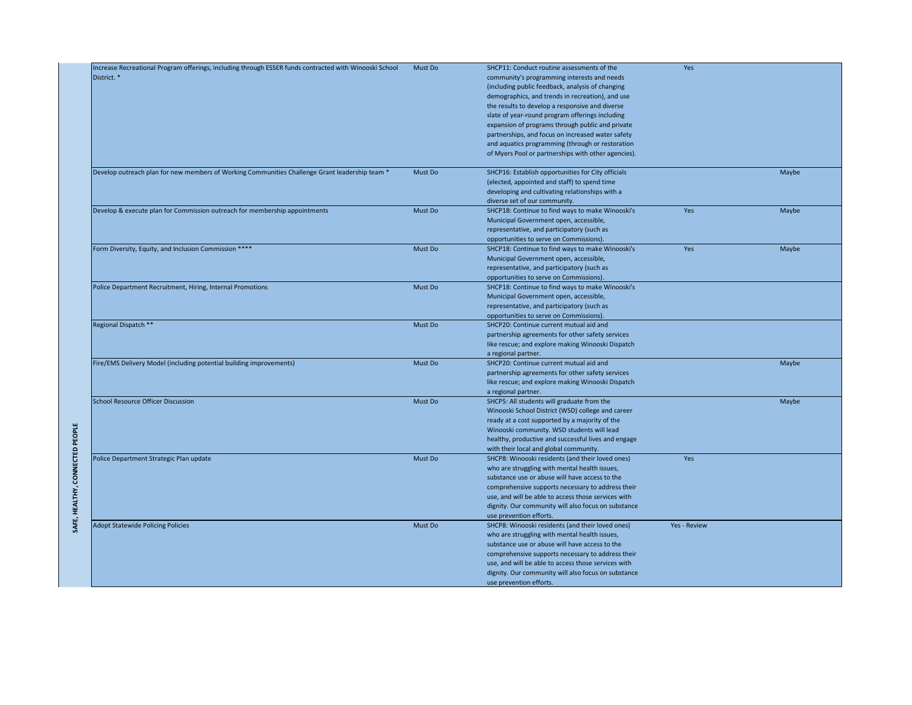|                                 | Increase Recreational Program offerings, including through ESSER funds contracted with Winooski School | Must Do | SHCP11: Conduct routine assessments of the          | Yes                 |       |
|---------------------------------|--------------------------------------------------------------------------------------------------------|---------|-----------------------------------------------------|---------------------|-------|
|                                 | District. *                                                                                            |         | community's programming interests and needs         |                     |       |
|                                 |                                                                                                        |         | (including public feedback, analysis of changing    |                     |       |
|                                 |                                                                                                        |         | demographics, and trends in recreation), and use    |                     |       |
|                                 |                                                                                                        |         | the results to develop a responsive and diverse     |                     |       |
|                                 |                                                                                                        |         |                                                     |                     |       |
|                                 |                                                                                                        |         | slate of year-round program offerings including     |                     |       |
|                                 |                                                                                                        |         | expansion of programs through public and private    |                     |       |
|                                 |                                                                                                        |         | partnerships, and focus on increased water safety   |                     |       |
|                                 |                                                                                                        |         | and aquatics programming (through or restoration    |                     |       |
|                                 |                                                                                                        |         | of Myers Pool or partnerships with other agencies). |                     |       |
|                                 | Develop outreach plan for new members of Working Communities Challenge Grant leadership team *         | Must Do | SHCP16: Establish opportunities for City officials  |                     | Maybe |
|                                 |                                                                                                        |         |                                                     |                     |       |
|                                 |                                                                                                        |         | (elected, appointed and staff) to spend time        |                     |       |
|                                 |                                                                                                        |         | developing and cultivating relationships with a     |                     |       |
|                                 |                                                                                                        |         | diverse set of our community.                       |                     |       |
|                                 | Develop & execute plan for Commission outreach for membership appointments                             | Must Do | SHCP18: Continue to find ways to make Winooski's    | Yes                 | Maybe |
|                                 |                                                                                                        |         | Municipal Government open, accessible,              |                     |       |
|                                 |                                                                                                        |         | representative, and participatory (such as          |                     |       |
|                                 |                                                                                                        |         | opportunities to serve on Commissions).             |                     |       |
|                                 | Form Diversity, Equity, and Inclusion Commission ****                                                  | Must Do | SHCP18: Continue to find ways to make Winooski's    | Yes                 | Maybe |
|                                 |                                                                                                        |         | Municipal Government open, accessible,              |                     |       |
|                                 |                                                                                                        |         | representative, and participatory (such as          |                     |       |
|                                 |                                                                                                        |         | opportunities to serve on Commissions).             |                     |       |
|                                 | Police Department Recruitment, Hiring, Internal Promotions                                             | Must Do | SHCP18: Continue to find ways to make Winooski's    |                     |       |
|                                 |                                                                                                        |         | Municipal Government open, accessible,              |                     |       |
|                                 |                                                                                                        |         |                                                     |                     |       |
|                                 |                                                                                                        |         | representative, and participatory (such as          |                     |       |
|                                 |                                                                                                        |         | opportunities to serve on Commissions).             |                     |       |
|                                 | Regional Dispatch **                                                                                   | Must Do | SHCP20: Continue current mutual aid and             |                     |       |
|                                 |                                                                                                        |         | partnership agreements for other safety services    |                     |       |
|                                 |                                                                                                        |         | like rescue; and explore making Winooski Dispatch   |                     |       |
|                                 |                                                                                                        |         | a regional partner.                                 |                     |       |
|                                 | Fire/EMS Delivery Model (including potential building improvements)                                    | Must Do | SHCP20: Continue current mutual aid and             |                     | Maybe |
|                                 |                                                                                                        |         | partnership agreements for other safety services    |                     |       |
|                                 |                                                                                                        |         | like rescue; and explore making Winooski Dispatch   |                     |       |
|                                 |                                                                                                        |         | a regional partner.                                 |                     |       |
|                                 | <b>School Resource Officer Discussion</b>                                                              | Must Do | SHCP5: All students will graduate from the          |                     | Maybe |
|                                 |                                                                                                        |         | Winooski School District (WSD) college and career   |                     |       |
|                                 |                                                                                                        |         | ready at a cost supported by a majority of the      |                     |       |
|                                 |                                                                                                        |         | Winooski community. WSD students will lead          |                     |       |
|                                 |                                                                                                        |         | healthy, productive and successful lives and engage |                     |       |
|                                 |                                                                                                        |         |                                                     |                     |       |
| SAFE, HEALTHY, CONNECTED PEOPLE |                                                                                                        | Must Do | with their local and global community.              | Yes                 |       |
|                                 | Police Department Strategic Plan update                                                                |         | SHCP8: Winooski residents (and their loved ones)    |                     |       |
|                                 |                                                                                                        |         | who are struggling with mental health issues,       |                     |       |
|                                 |                                                                                                        |         | substance use or abuse will have access to the      |                     |       |
|                                 |                                                                                                        |         | comprehensive supports necessary to address their   |                     |       |
|                                 |                                                                                                        |         | use, and will be able to access those services with |                     |       |
|                                 |                                                                                                        |         | dignity. Our community will also focus on substance |                     |       |
|                                 |                                                                                                        |         | use prevention efforts.                             |                     |       |
|                                 | <b>Adopt Statewide Policing Policies</b>                                                               | Must Do | SHCP8: Winooski residents (and their loved ones)    | <b>Yes - Review</b> |       |
|                                 |                                                                                                        |         | who are struggling with mental health issues,       |                     |       |
|                                 |                                                                                                        |         | substance use or abuse will have access to the      |                     |       |
|                                 |                                                                                                        |         | comprehensive supports necessary to address their   |                     |       |
|                                 |                                                                                                        |         | use, and will be able to access those services with |                     |       |
|                                 |                                                                                                        |         | dignity. Our community will also focus on substance |                     |       |
|                                 |                                                                                                        |         |                                                     |                     |       |
|                                 |                                                                                                        |         | use prevention efforts.                             |                     |       |